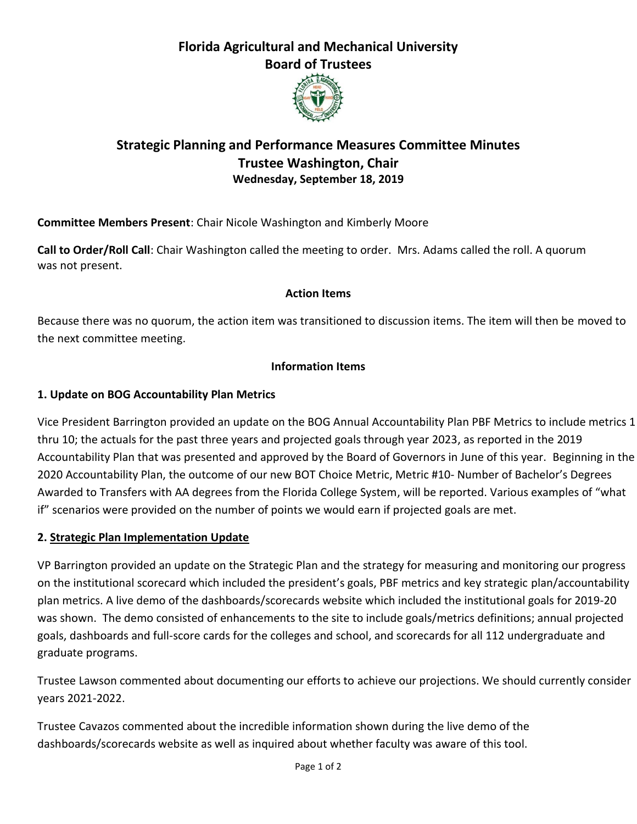# **Florida Agricultural and Mechanical University Board of Trustees**



## **Strategic Planning and Performance Measures Committee Minutes Trustee Washington, Chair Wednesday, September 18, 2019**

**Committee Members Present**: Chair Nicole Washington and Kimberly Moore

**Call to Order/Roll Call**: Chair Washington called the meeting to order. Mrs. Adams called the roll. A quorum was not present.

#### **Action Items**

Because there was no quorum, the action item was transitioned to discussion items. The item will then be moved to the next committee meeting.

### **Information Items**

## **1. Update on BOG Accountability Plan Metrics**

Vice President Barrington provided an update on the BOG Annual Accountability Plan PBF Metrics to include metrics 1 thru 10; the actuals for the past three years and projected goals through year 2023, as reported in the 2019 Accountability Plan that was presented and approved by the Board of Governors in June of this year. Beginning in the 2020 Accountability Plan, the outcome of our new BOT Choice Metric, Metric #10- Number of Bachelor's Degrees Awarded to Transfers with AA degrees from the Florida College System, will be reported. Various examples of "what if" scenarios were provided on the number of points we would earn if projected goals are met.

### **2. Strategic Plan Implementation Update**

VP Barrington provided an update on the Strategic Plan and the strategy for measuring and monitoring our progress on the institutional scorecard which included the president's goals, PBF metrics and key strategic plan/accountability plan metrics. A live demo of the dashboards/scorecards website which included the institutional goals for 2019-20 was shown. The demo consisted of enhancements to the site to include goals/metrics definitions; annual projected goals, dashboards and full-score cards for the colleges and school, and scorecards for all 112 undergraduate and graduate programs.

Trustee Lawson commented about documenting our efforts to achieve our projections. We should currently consider years 2021-2022.

Trustee Cavazos commented about the incredible information shown during the live demo of the dashboards/scorecards website as well as inquired about whether faculty was aware of this tool.